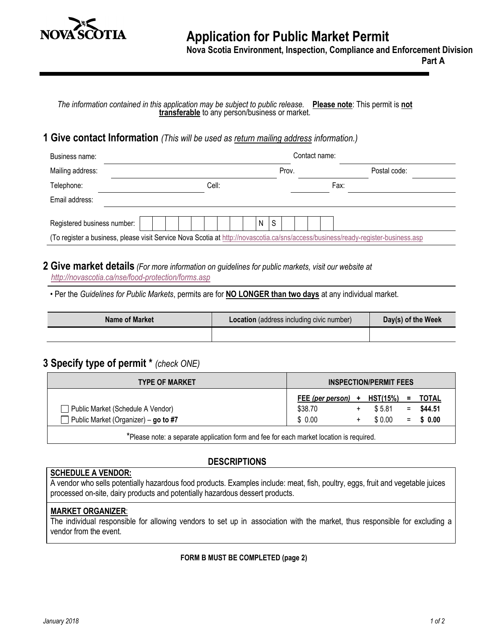

#### **Nova Scotia Environment, Inspection, Compliance and Enforcement Division**

**Part A**

*The information contained in this application may be subject to public release.* **Please note**: This permit is **not transferable** to any person/business or market.

# **1 Give contact Information** *(This will be used as return mailing address information.)*

| Business name:              |  |  |       |  |   |   |       | Contact name: |                                                                                                                                   |  |
|-----------------------------|--|--|-------|--|---|---|-------|---------------|-----------------------------------------------------------------------------------------------------------------------------------|--|
| Mailing address:            |  |  |       |  |   |   | Prov. |               | Postal code:                                                                                                                      |  |
| Telephone:                  |  |  | Cell: |  |   |   |       |               | Fax:                                                                                                                              |  |
| Email address:              |  |  |       |  |   |   |       |               |                                                                                                                                   |  |
| Registered business number: |  |  |       |  | N | S |       |               |                                                                                                                                   |  |
|                             |  |  |       |  |   |   |       |               | (To register a business, please visit Service Nova Scotia at http://novascotia.ca/sns/access/business/ready-register-business.asp |  |

#### **2 Give market details** *(For more information on guidelines for public markets, visit our website at <http://novascotia.ca/nse/food-protection/forms.asp>*

• Per the *Guidelines for Public Markets*, permits are for **NO LONGER than two days** at any individual market.

| Name of Market | <b>Location</b> (address including civic number) | Day(s) of the Week |
|----------------|--------------------------------------------------|--------------------|
|                |                                                  |                    |

# **3 Specify type of permit \*** *(check ONE)*

| <b>TYPE OF MARKET</b>                |                  | <b>INSPECTION/PERMIT FEES</b> |     |             |
|--------------------------------------|------------------|-------------------------------|-----|-------------|
|                                      | FEE (per person) | + HST(15%)                    | $=$ | TOTAL       |
| Public Market (Schedule A Vendor)    | \$38.70          | \$5.81                        | $=$ | \$44.51     |
| Public Market (Organizer) - go to #7 | \$ 0.00          | \$ 0.00                       |     | $=$ \$ 0.00 |
|                                      |                  |                               |     |             |

\*Please note: a separate application form and fee for each market location is required.

### **DESCRIPTIONS**

#### **SCHEDULE A VENDOR:**

A vendor who sells potentially hazardous food products. Examples include: meat, fish, poultry, eggs, fruit and vegetable juices processed on-site, dairy products and potentially hazardous dessert products.

#### **MARKET ORGANIZER**:

The individual responsible for allowing vendors to set up in association with the market, thus responsible for excluding a vendor from the event.

#### **FORM B MUST BE COMPLETED (page 2)**